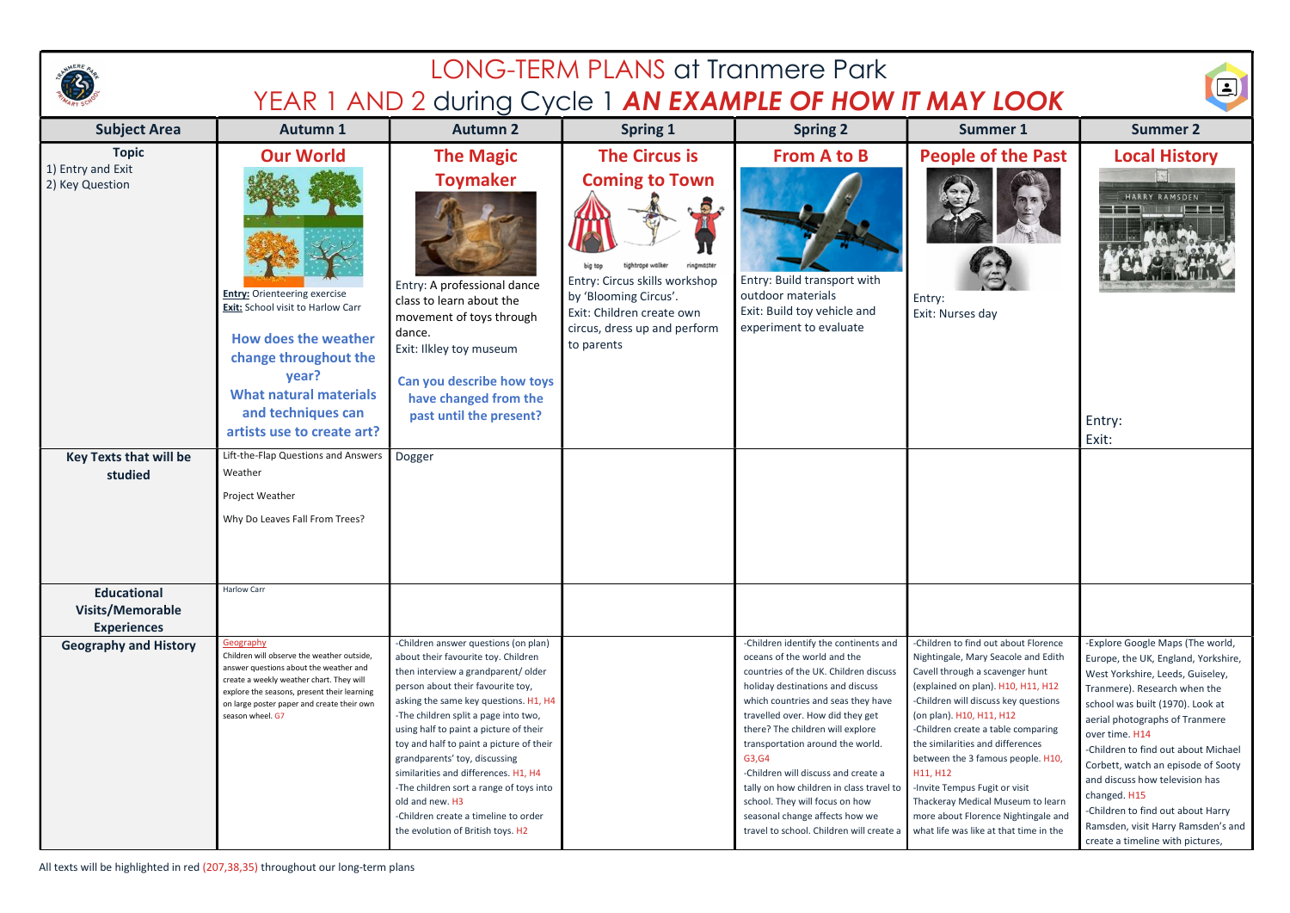| <b>LONG-TERM PLANS at Tranmere Park</b><br>YEAR 1 AND 2 during Cycle 1 AN EXAMPLE OF HOW IT MAY LOOK |                                                                                                                                                                                                                                                                |                                                                                                                                                                                                                                                                                                                                                                                                                                                                                                                                                   |                                                                                                                                                                                                                          |                                                                                                                                                                                                                                                                                                                                                                                                                                                                                                                  |                                                                                                                                                                                                                                                                                                                                                                                                                                                                                                            |                                                                                                                                                                                                                                                                                                                                                                                                                                                                                   |  |  |
|------------------------------------------------------------------------------------------------------|----------------------------------------------------------------------------------------------------------------------------------------------------------------------------------------------------------------------------------------------------------------|---------------------------------------------------------------------------------------------------------------------------------------------------------------------------------------------------------------------------------------------------------------------------------------------------------------------------------------------------------------------------------------------------------------------------------------------------------------------------------------------------------------------------------------------------|--------------------------------------------------------------------------------------------------------------------------------------------------------------------------------------------------------------------------|------------------------------------------------------------------------------------------------------------------------------------------------------------------------------------------------------------------------------------------------------------------------------------------------------------------------------------------------------------------------------------------------------------------------------------------------------------------------------------------------------------------|------------------------------------------------------------------------------------------------------------------------------------------------------------------------------------------------------------------------------------------------------------------------------------------------------------------------------------------------------------------------------------------------------------------------------------------------------------------------------------------------------------|-----------------------------------------------------------------------------------------------------------------------------------------------------------------------------------------------------------------------------------------------------------------------------------------------------------------------------------------------------------------------------------------------------------------------------------------------------------------------------------|--|--|
| <b>Subject Area</b>                                                                                  | <b>Autumn 1</b>                                                                                                                                                                                                                                                | <b>Autumn 2</b><br><b>Spring 1</b>                                                                                                                                                                                                                                                                                                                                                                                                                                                                                                                |                                                                                                                                                                                                                          | <b>Spring 2</b>                                                                                                                                                                                                                                                                                                                                                                                                                                                                                                  | <b>Summer 1</b>                                                                                                                                                                                                                                                                                                                                                                                                                                                                                            | <b>Summer 2</b>                                                                                                                                                                                                                                                                                                                                                                                                                                                                   |  |  |
| <b>Topic</b><br>1) Entry and Exit<br>2) Key Question                                                 | <b>Our World</b><br><b>Entry:</b> Orienteering exercise<br>Exit: School visit to Harlow Carr<br><b>How does the weather</b><br>change throughout the<br>year?<br><b>What natural materials</b><br>and techniques can<br>artists use to create art?             | <b>The Magic</b><br><b>Toymaker</b><br>Entry: A professional dance<br>class to learn about the<br>movement of toys through<br>dance.<br>Exit: Ilkley toy museum<br>Can you describe how toys<br>have changed from the<br>past until the present?                                                                                                                                                                                                                                                                                                  | <b>The Circus is</b><br><b>Coming to Town</b><br>ā<br>ightrope walker<br>ringmaster<br>Entry: Circus skills workshop<br>by 'Blooming Circus'.<br>Exit: Children create own<br>circus, dress up and perform<br>to parents | <b>From A to B</b><br>Entry: Build transport with<br>outdoor materials<br>Exit: Build toy vehicle and<br>experiment to evaluate                                                                                                                                                                                                                                                                                                                                                                                  | <b>People of the Past</b><br>Entry:<br>Exit: Nurses day                                                                                                                                                                                                                                                                                                                                                                                                                                                    | <b>Local History</b><br>HARRY RAMSDEN<br>Entry:<br>Exit:                                                                                                                                                                                                                                                                                                                                                                                                                          |  |  |
| <b>Key Texts that will be</b><br>studied<br><b>Educational</b>                                       | Lift-the-Flap Questions and Answers<br>Weather<br>Project Weather<br>Why Do Leaves Fall From Trees?<br><b>Harlow Carr</b>                                                                                                                                      | Dogger                                                                                                                                                                                                                                                                                                                                                                                                                                                                                                                                            |                                                                                                                                                                                                                          |                                                                                                                                                                                                                                                                                                                                                                                                                                                                                                                  |                                                                                                                                                                                                                                                                                                                                                                                                                                                                                                            |                                                                                                                                                                                                                                                                                                                                                                                                                                                                                   |  |  |
| <b>Visits/Memorable</b><br><b>Experiences</b><br><b>Geography and History</b>                        | Geography<br>Children will observe the weather outside,<br>answer questions about the weather and<br>create a weekly weather chart. They will<br>explore the seasons, present their learning<br>on large poster paper and create their own<br>season wheel. G7 | -Children answer questions (on plan)<br>about their favourite toy. Children<br>then interview a grandparent/older<br>person about their favourite toy,<br>asking the same key questions. H1, H4<br>-The children split a page into two,<br>using half to paint a picture of their<br>toy and half to paint a picture of their<br>grandparents' toy, discussing<br>similarities and differences. H1, H4<br>-The children sort a range of toys into<br>old and new. H3<br>-Children create a timeline to order<br>the evolution of British toys. H2 |                                                                                                                                                                                                                          | -Children identify the continents and<br>oceans of the world and the<br>countries of the UK. Children discuss<br>holiday destinations and discuss<br>which countries and seas they have<br>travelled over. How did they get<br>there? The children will explore<br>transportation around the world.<br>G3, G4<br>-Children will discuss and create a<br>tally on how children in class travel to<br>school. They will focus on how<br>seasonal change affects how we<br>travel to school. Children will create a | -Children to find out about Florence<br>Nightingale, Mary Seacole and Edith<br>Cavell through a scavenger hunt<br>(explained on plan). H10, H11, H12<br>-Children will discuss key questions<br>(on plan). H10, H11, H12<br>-Children create a table comparing<br>the similarities and differences<br>between the 3 famous people. H10,<br>H11, H12<br>-Invite Tempus Fugit or visit<br>Thackeray Medical Museum to learn<br>more about Florence Nightingale and<br>what life was like at that time in the | -Explore Google Maps (The world,<br>Europe, the UK, England, Yorkshire,<br>West Yorkshire, Leeds, Guiseley,<br>Tranmere). Research when the<br>school was built (1970). Look at<br>aerial photographs of Tranmere<br>over time. H14<br>-Children to find out about Michael<br>Corbett, watch an episode of Sooty<br>and discuss how television has<br>changed. H15<br>-Children to find out about Harry<br>Ramsden, visit Harry Ramsden's and<br>create a timeline with pictures, |  |  |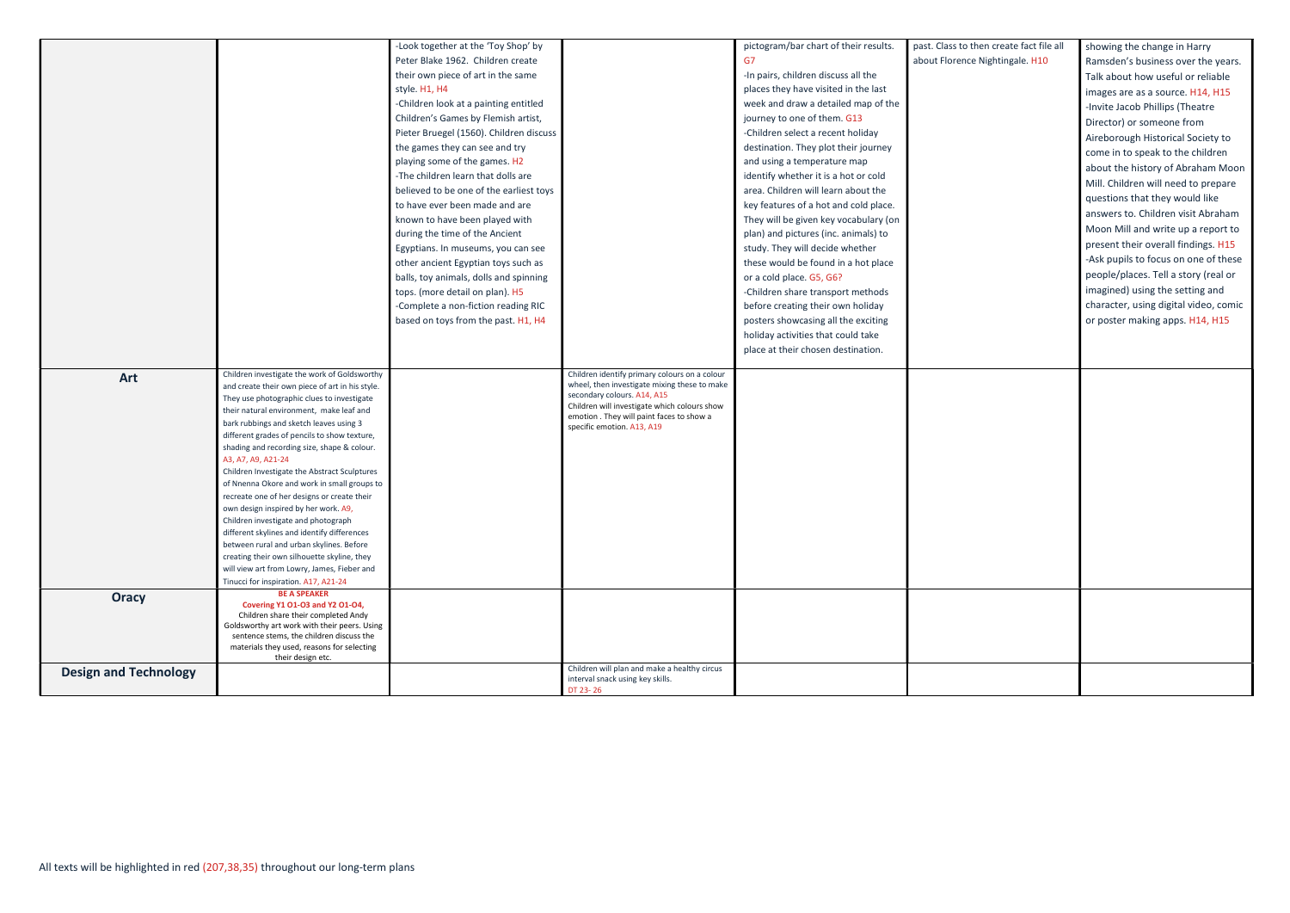|                              |                                                                                          | -Look together at the 'Toy Shop' by     |                                                                                  | pictogram/bar chart of their results.                                         | past. Class to then create fact file all | showing the change in Harry           |
|------------------------------|------------------------------------------------------------------------------------------|-----------------------------------------|----------------------------------------------------------------------------------|-------------------------------------------------------------------------------|------------------------------------------|---------------------------------------|
|                              |                                                                                          | Peter Blake 1962. Children create       |                                                                                  | G7                                                                            | about Florence Nightingale. H10          | Ramsden's business over the years.    |
|                              |                                                                                          | their own piece of art in the same      |                                                                                  | -In pairs, children discuss all the                                           |                                          | Talk about how useful or reliable     |
|                              |                                                                                          | style. H1, H4                           |                                                                                  | places they have visited in the last                                          |                                          | images are as a source. H14, H15      |
|                              |                                                                                          | -Children look at a painting entitled   |                                                                                  | week and draw a detailed map of the                                           |                                          |                                       |
|                              |                                                                                          | Children's Games by Flemish artist,     |                                                                                  | journey to one of them. G13                                                   |                                          | -Invite Jacob Phillips (Theatre       |
|                              |                                                                                          | Pieter Bruegel (1560). Children discuss |                                                                                  | -Children select a recent holiday                                             |                                          | Director) or someone from             |
|                              |                                                                                          | the games they can see and try          |                                                                                  | destination. They plot their journey                                          |                                          | Aireborough Historical Society to     |
|                              |                                                                                          | playing some of the games. H2           |                                                                                  | and using a temperature map                                                   |                                          | come in to speak to the children      |
|                              |                                                                                          | -The children learn that dolls are      |                                                                                  | identify whether it is a hot or cold                                          |                                          | about the history of Abraham Moon     |
|                              |                                                                                          | believed to be one of the earliest toys |                                                                                  | area. Children will learn about the                                           |                                          | Mill. Children will need to prepare   |
|                              |                                                                                          | to have ever been made and are          |                                                                                  | key features of a hot and cold place.                                         |                                          | questions that they would like        |
|                              |                                                                                          | known to have been played with          |                                                                                  |                                                                               |                                          | answers to. Children visit Abraham    |
|                              |                                                                                          | during the time of the Ancient          |                                                                                  | They will be given key vocabulary (on<br>plan) and pictures (inc. animals) to |                                          | Moon Mill and write up a report to    |
|                              |                                                                                          |                                         |                                                                                  |                                                                               |                                          | present their overall findings. H15   |
|                              |                                                                                          | Egyptians. In museums, you can see      |                                                                                  | study. They will decide whether                                               |                                          | -Ask pupils to focus on one of these  |
|                              |                                                                                          | other ancient Egyptian toys such as     |                                                                                  | these would be found in a hot place                                           |                                          | people/places. Tell a story (real or  |
|                              |                                                                                          | balls, toy animals, dolls and spinning  |                                                                                  | or a cold place. G5, G6?                                                      |                                          | imagined) using the setting and       |
|                              |                                                                                          | tops. (more detail on plan). H5         |                                                                                  | -Children share transport methods                                             |                                          |                                       |
|                              |                                                                                          | -Complete a non-fiction reading RIC     |                                                                                  | before creating their own holiday                                             |                                          | character, using digital video, comic |
|                              |                                                                                          | based on toys from the past. H1, H4     |                                                                                  | posters showcasing all the exciting                                           |                                          | or poster making apps. H14, H15       |
|                              |                                                                                          |                                         |                                                                                  | holiday activities that could take                                            |                                          |                                       |
|                              |                                                                                          |                                         |                                                                                  | place at their chosen destination.                                            |                                          |                                       |
| Art                          | Children investigate the work of Goldsworthy                                             |                                         | Children identify primary colours on a colour                                    |                                                                               |                                          |                                       |
|                              | and create their own piece of art in his style.                                          |                                         | wheel, then investigate mixing these to make                                     |                                                                               |                                          |                                       |
|                              | They use photographic clues to investigate                                               |                                         | secondary colours. A14, A15<br>Children will investigate which colours show      |                                                                               |                                          |                                       |
|                              | their natural environment, make leaf and<br>bark rubbings and sketch leaves using 3      |                                         | emotion . They will paint faces to show a                                        |                                                                               |                                          |                                       |
|                              | different grades of pencils to show texture,                                             |                                         | specific emotion. A13, A19                                                       |                                                                               |                                          |                                       |
|                              | shading and recording size, shape & colour.                                              |                                         |                                                                                  |                                                                               |                                          |                                       |
|                              | A3, A7, A9, A21-24                                                                       |                                         |                                                                                  |                                                                               |                                          |                                       |
|                              | Children Investigate the Abstract Sculptures                                             |                                         |                                                                                  |                                                                               |                                          |                                       |
|                              | of Nnenna Okore and work in small groups to                                              |                                         |                                                                                  |                                                                               |                                          |                                       |
|                              | recreate one of her designs or create their                                              |                                         |                                                                                  |                                                                               |                                          |                                       |
|                              | own design inspired by her work. A9,<br>Children investigate and photograph              |                                         |                                                                                  |                                                                               |                                          |                                       |
|                              | different skylines and identify differences                                              |                                         |                                                                                  |                                                                               |                                          |                                       |
|                              | between rural and urban skylines. Before                                                 |                                         |                                                                                  |                                                                               |                                          |                                       |
|                              | creating their own silhouette skyline, they                                              |                                         |                                                                                  |                                                                               |                                          |                                       |
|                              | will view art from Lowry, James, Fieber and                                              |                                         |                                                                                  |                                                                               |                                          |                                       |
|                              | Tinucci for inspiration. A17, A21-24                                                     |                                         |                                                                                  |                                                                               |                                          |                                       |
| <b>Oracy</b>                 | <b>BE A SPEAKER</b><br>Covering Y1 O1-03 and Y2 O1-04,                                   |                                         |                                                                                  |                                                                               |                                          |                                       |
|                              | Children share their completed Andy                                                      |                                         |                                                                                  |                                                                               |                                          |                                       |
|                              | Goldsworthy art work with their peers. Using<br>sentence stems, the children discuss the |                                         |                                                                                  |                                                                               |                                          |                                       |
|                              | materials they used, reasons for selecting                                               |                                         |                                                                                  |                                                                               |                                          |                                       |
|                              | their design etc.                                                                        |                                         |                                                                                  |                                                                               |                                          |                                       |
| <b>Design and Technology</b> |                                                                                          |                                         | Children will plan and make a healthy circus<br>interval snack using key skills. |                                                                               |                                          |                                       |
|                              |                                                                                          |                                         | DT 23-26                                                                         |                                                                               |                                          |                                       |